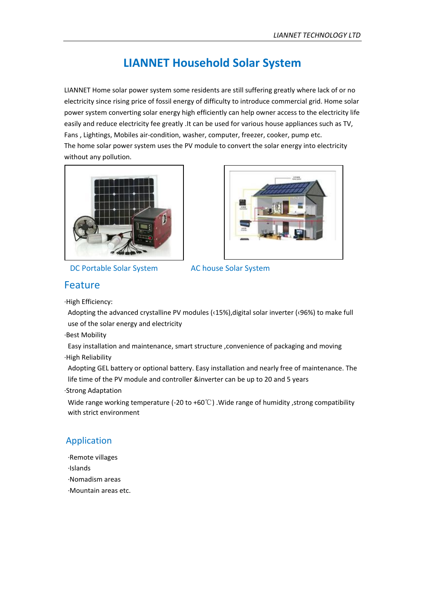#### **LIANNET Household Solar System**

LIANNET Home solar power system some residents are still suffering greatly where lack of or no electricity since rising price of fossil energy of difficulty to introduce commercial grid. Home solar power system converting solar energy high efficiently can help owner access to the electricity life easily and reduce electricity fee greatly .It can be used for various house appliances such as TV, Fans , Lightings, Mobiles air-condition, washer, computer, freezer, cooker, pump etc. The home solar power system uses the PV module to convert the solar energy into electricity without any pollution.



DC Portable Solar System AC house Solar System



#### Feature

·High Efficiency:

Adopting the advanced crystalline PV modules (‹15%),digital solar inverter (‹96%) to make full use of the solar energy and electricity

·Best Mobility

Easy installation and maintenance, smart structure ,convenience of packaging and moving ·High Reliability

Adopting GEL battery or optional battery. Easy installation and nearly free of maintenance. The life time of the PV module and controller &inverter can be up to 20 and 5 years ·Strong Adaptation

Wide range working temperature (-20 to +60℃) .Wide range of humidity ,strong compatibility with strict environment

#### Application

- ·Remote villages
- ·Islands
- ·Nomadism areas
- ·Mountain areas etc.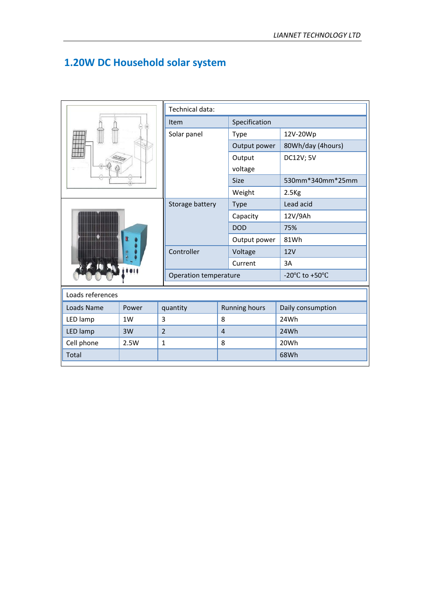#### **1.20W DC Household solar system**

|                  |       | Technical data:       |                |                      |                                                      |  |  |
|------------------|-------|-----------------------|----------------|----------------------|------------------------------------------------------|--|--|
|                  |       | Item                  |                | Specification        |                                                      |  |  |
|                  |       | Solar panel           |                | Type                 | 12V-20Wp                                             |  |  |
|                  |       |                       |                | Output power         | 80Wh/day (4hours)                                    |  |  |
|                  |       |                       |                | Output               | <b>DC12V; 5V</b>                                     |  |  |
|                  |       |                       |                | voltage              |                                                      |  |  |
|                  |       |                       |                | <b>Size</b>          | 530mm*340mm*25mm                                     |  |  |
|                  |       |                       |                | Weight               | 2.5 <sub>kg</sub>                                    |  |  |
|                  |       | Storage battery       |                | <b>Type</b>          | Lead acid                                            |  |  |
|                  |       |                       |                | Capacity             | 12V/9Ah                                              |  |  |
|                  |       |                       |                | <b>DOD</b>           | 75%                                                  |  |  |
|                  |       |                       |                | Output power         | 81Wh                                                 |  |  |
|                  |       | Controller            |                | Voltage              | 12V                                                  |  |  |
|                  |       |                       |                | Current              | 3A                                                   |  |  |
|                  |       | Operation temperature |                |                      | -20 $\mathrm{^{\circ}C}$ to +50 $\mathrm{^{\circ}C}$ |  |  |
| Loads references |       |                       |                |                      |                                                      |  |  |
| Loads Name       | Power | quantity              |                | <b>Running hours</b> | Daily consumption                                    |  |  |
| LED lamp         | 1W    | 3                     | 8              |                      | 24Wh                                                 |  |  |
| LED lamp         | 3W    | $\overline{2}$        | $\overline{4}$ |                      | 24Wh                                                 |  |  |
| Cell phone       | 2.5W  | $\mathbf{1}$          | 8              |                      | 20Wh                                                 |  |  |
| Total            |       |                       |                |                      | 68Wh                                                 |  |  |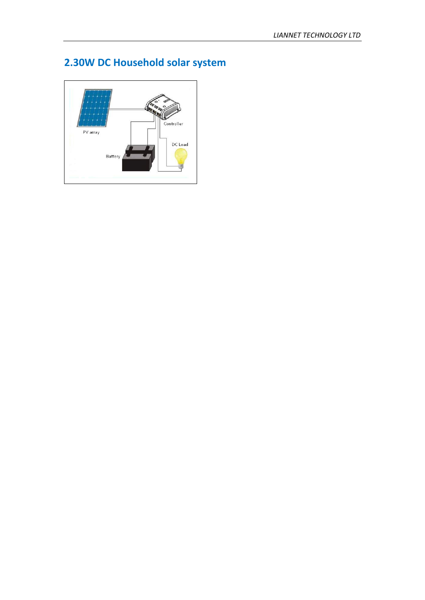## **2.30W DC Household solar system**

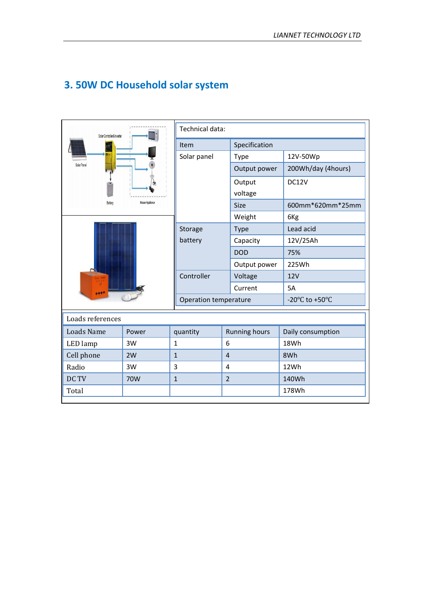| Solar Controller&Inverter |                 |                       | Technical data:      |                                                      |  |  |
|---------------------------|-----------------|-----------------------|----------------------|------------------------------------------------------|--|--|
|                           |                 | Item                  | Specification        |                                                      |  |  |
|                           |                 | Solar panel           | Type                 | 12V-50Wp                                             |  |  |
|                           |                 |                       | Output power         | 200Wh/day (4hours)                                   |  |  |
|                           |                 |                       | Output               | DC12V                                                |  |  |
|                           |                 |                       | voltage              |                                                      |  |  |
| Battery                   | House Appliance |                       | Size                 | 600mm*620mm*25mm                                     |  |  |
|                           |                 |                       | Weight               | 6Kg                                                  |  |  |
|                           |                 | Storage               | <b>Type</b>          | Lead acid                                            |  |  |
|                           |                 | battery               | Capacity             | 12V/25Ah                                             |  |  |
|                           |                 |                       | <b>DOD</b>           | 75%                                                  |  |  |
|                           |                 |                       | Output power         | 225Wh                                                |  |  |
|                           |                 | Controller            | Voltage              | <b>12V</b>                                           |  |  |
|                           |                 |                       | Current              | 5A                                                   |  |  |
|                           |                 | Operation temperature |                      | -20 $\mathrm{^{\circ}C}$ to +50 $\mathrm{^{\circ}C}$ |  |  |
| Loads references          |                 |                       |                      |                                                      |  |  |
| <b>Loads Name</b>         | Power           | quantity              | <b>Running hours</b> | Daily consumption                                    |  |  |
| LED lamp                  | 3W              | $\mathbf{1}$          | 6                    | 18Wh                                                 |  |  |
| Cell phone                | 2W              | $\mathbf{1}$          | $\overline{4}$       | 8Wh                                                  |  |  |
| Radio                     | 3W              | 3                     | 4                    | 12Wh                                                 |  |  |
| DC TV                     | 70W             | $\mathbf{1}$          | $\overline{2}$       | 140Wh                                                |  |  |
| Total                     |                 |                       |                      | 178Wh                                                |  |  |

#### **3. 50W DC Household solar system**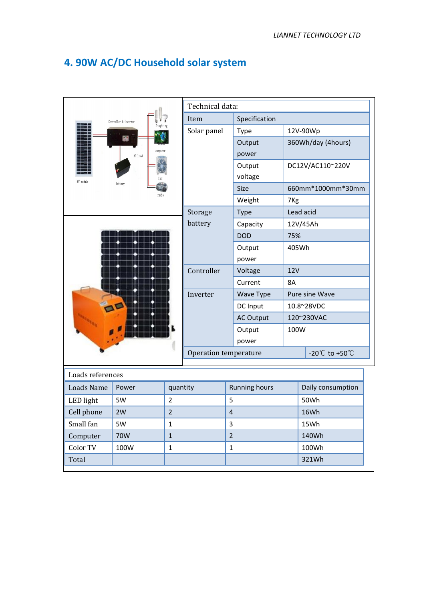#### **4. 90W AC/DC Household solar system**

|                   |                       | Technical data: |                       |                      |                 |                                                    |                                      |  |
|-------------------|-----------------------|-----------------|-----------------------|----------------------|-----------------|----------------------------------------------------|--------------------------------------|--|
|                   | Controller & inverter |                 | Item                  | Specification        |                 |                                                    |                                      |  |
|                   | linghting             |                 | Solar panel           | <b>Type</b>          |                 | 12V-90Wp                                           |                                      |  |
|                   |                       |                 |                       | Output               |                 | 360Wh/day (4hours)                                 |                                      |  |
|                   | computer<br>AC load   |                 |                       | power                |                 |                                                    |                                      |  |
|                   |                       |                 |                       | Output               |                 | DC12V/AC110~220V                                   |                                      |  |
| PV module         | Battery               |                 |                       | voltage              |                 |                                                    |                                      |  |
|                   | radio                 |                 |                       | Size                 |                 |                                                    | 660mm*1000mm*30mm                    |  |
|                   |                       |                 |                       | Weight               | 7 <sub>Kg</sub> |                                                    |                                      |  |
|                   |                       |                 | Storage               | <b>Type</b>          |                 | Lead acid                                          |                                      |  |
|                   |                       |                 | battery               | Capacity             |                 | 12V/45Ah                                           |                                      |  |
|                   |                       |                 |                       | <b>DOD</b>           | 75%             |                                                    |                                      |  |
|                   |                       |                 |                       | Output               |                 | 405Wh                                              |                                      |  |
|                   |                       |                 |                       | power                |                 |                                                    |                                      |  |
|                   |                       |                 | Controller            | Voltage              |                 | <b>12V</b>                                         |                                      |  |
|                   |                       |                 |                       | Current              | 8A              |                                                    |                                      |  |
|                   |                       |                 | Inverter              | Wave Type            |                 | Pure sine Wave<br>10.8~28VDC<br>120~230VAC<br>100W |                                      |  |
|                   |                       |                 |                       | DC Input             |                 |                                                    |                                      |  |
|                   |                       |                 |                       | <b>AC Output</b>     |                 |                                                    |                                      |  |
|                   |                       |                 |                       | Output               |                 |                                                    |                                      |  |
|                   |                       |                 |                       | power                |                 |                                                    |                                      |  |
|                   |                       |                 | Operation temperature |                      |                 |                                                    | -20 $^{\circ}$ C to +50 $^{\circ}$ C |  |
| Loads references  |                       |                 |                       |                      |                 |                                                    |                                      |  |
| <b>Loads Name</b> | Power                 | quantity        |                       | <b>Running hours</b> |                 |                                                    | Daily consumption                    |  |
| LED light         | 5W                    | $\overline{2}$  |                       | 5                    |                 |                                                    |                                      |  |
| Cell phone        | 2W                    | $\overline{2}$  |                       | $\overline{4}$       |                 | 50Wh<br>16Wh                                       |                                      |  |
| Small fan         | 5W                    | $\mathbf{1}$    |                       | 3                    |                 | 15Wh                                               |                                      |  |
| Computer          | 70W                   | $\mathbf{1}$    |                       | $\overline{2}$       |                 | 140Wh                                              |                                      |  |
| Color TV          | 100W                  | $\mathbf 1$     |                       | $\mathbf 1$          |                 | 100Wh                                              |                                      |  |
| Total             |                       |                 |                       |                      |                 | 321Wh                                              |                                      |  |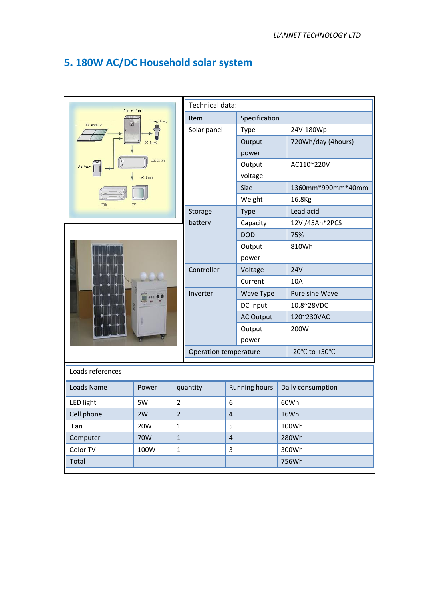#### **5. 180W AC/DC Household solar system**

| Controller         |           |                | Technical data:       |                         |                      |  |                                                      |
|--------------------|-----------|----------------|-----------------------|-------------------------|----------------------|--|------------------------------------------------------|
|                    | Linghting |                | Item                  |                         | Specification        |  |                                                      |
| 圍<br>PV module     |           |                | Solar panel           |                         | <b>Type</b>          |  | 24V-180Wp                                            |
|                    | Load      |                |                       |                         | Output               |  | 720Wh/day (4hours)                                   |
|                    |           |                |                       |                         | power                |  |                                                      |
| $\circ$<br>Battery | Inverter  |                |                       |                         | Output               |  | AC110~220V                                           |
|                    | AC Load   |                |                       |                         | voltage              |  |                                                      |
|                    |           |                |                       |                         | Size                 |  | 1360mm*990mm*40mm                                    |
| <b>DVD</b><br>TV   |           |                |                       |                         | Weight               |  | 16.8Kg                                               |
|                    |           |                | Storage               |                         | <b>Type</b>          |  | Lead acid                                            |
|                    |           |                | battery               |                         | Capacity             |  | 12V /45Ah*2PCS                                       |
|                    |           |                |                       |                         | <b>DOD</b>           |  | 75%                                                  |
|                    |           |                |                       |                         | Output               |  | 810Wh                                                |
|                    |           |                |                       |                         | power                |  |                                                      |
|                    |           |                | Controller            |                         | Voltage              |  | <b>24V</b>                                           |
|                    |           |                |                       |                         | Current              |  | 10A                                                  |
|                    |           |                | Inverter              |                         | Wave Type            |  | Pure sine Wave                                       |
|                    |           |                |                       |                         | DC Input             |  | 10.8~28VDC                                           |
|                    |           |                |                       |                         | <b>AC Output</b>     |  | 120~230VAC                                           |
|                    |           |                |                       |                         | Output               |  | 200W                                                 |
|                    |           |                |                       |                         | power                |  |                                                      |
|                    |           |                | Operation temperature |                         |                      |  | -20 $\mathrm{^{\circ}C}$ to +50 $\mathrm{^{\circ}C}$ |
| Loads references   |           |                |                       |                         |                      |  |                                                      |
| Loads Name         | Power     |                | quantity              |                         | <b>Running hours</b> |  | Daily consumption                                    |
| <b>LED light</b>   | 5W        | $\overline{2}$ |                       | 6                       |                      |  | 60Wh                                                 |
| Cell phone         | 2W        | $\overline{2}$ |                       | $\overline{\mathbf{r}}$ |                      |  | 16Wh                                                 |
| Fan                | 20W       | $\mathbf{1}$   |                       | 5                       |                      |  | 100Wh                                                |
| Computer           | 70W       | $\,1\,$        |                       | $\sqrt{4}$              |                      |  | 280Wh                                                |
| Color TV           | 100W      | $\mathbf 1$    |                       | $\mathbf{3}$            |                      |  | 300Wh                                                |
| Total              |           |                |                       |                         |                      |  | 756Wh                                                |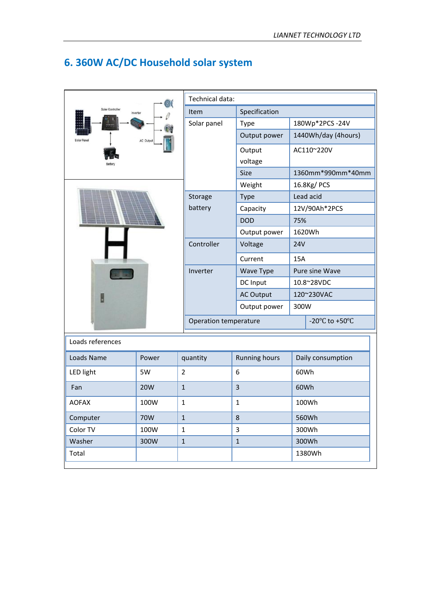|                              |                  |                       | Technical data:      |                                                      |  |  |  |
|------------------------------|------------------|-----------------------|----------------------|------------------------------------------------------|--|--|--|
| Solar Controller<br>Inverter |                  | Item                  | Specification        |                                                      |  |  |  |
|                              |                  | Solar panel           | Type                 | 180Wp*2PCS-24V                                       |  |  |  |
| Solar Pano                   | <b>AC Output</b> |                       | Output power         | 1440Wh/day (4hours)                                  |  |  |  |
|                              |                  |                       | Output               | AC110~220V                                           |  |  |  |
|                              |                  |                       | voltage              |                                                      |  |  |  |
|                              |                  |                       | Size                 | 1360mm*990mm*40mm                                    |  |  |  |
|                              |                  |                       | Weight               | 16.8Kg/ PCS                                          |  |  |  |
|                              |                  | Storage               | Type                 | Lead acid                                            |  |  |  |
|                              |                  | battery               | Capacity             | 12V/90Ah*2PCS                                        |  |  |  |
|                              |                  |                       | <b>DOD</b>           | 75%                                                  |  |  |  |
|                              |                  |                       | Output power         | 1620Wh                                               |  |  |  |
|                              |                  | Controller            | Voltage              | <b>24V</b>                                           |  |  |  |
|                              |                  |                       | Current              | 15A                                                  |  |  |  |
|                              |                  | Inverter              | Wave Type            | Pure sine Wave                                       |  |  |  |
|                              |                  |                       | DC Input             | 10.8~28VDC                                           |  |  |  |
| Ŀ                            |                  |                       | <b>AC Output</b>     | 120~230VAC                                           |  |  |  |
|                              |                  |                       | Output power         | 300W                                                 |  |  |  |
|                              |                  | Operation temperature |                      | -20 $\mathrm{^{\circ}C}$ to +50 $\mathrm{^{\circ}C}$ |  |  |  |
| Loads references             |                  |                       |                      |                                                      |  |  |  |
| Loads Name                   | Power            | quantity              | <b>Running hours</b> | Daily consumption                                    |  |  |  |
| <b>LED light</b>             | 5W               | $\overline{2}$        | 6                    | 60Wh                                                 |  |  |  |
|                              |                  | $\mathbf{1}$          | $\overline{3}$       |                                                      |  |  |  |
| Fan                          | <b>20W</b>       |                       |                      | 60Wh                                                 |  |  |  |
| <b>AOFAX</b>                 | 100W             | $\mathbf 1$           | $\mathbf{1}$         | 100Wh                                                |  |  |  |
| Computer                     | 70W              | $\mathbf 1$           | $\,8\,$              | 560Wh                                                |  |  |  |
| Color TV                     | 100W             | $\mathbf{1}$          | $\overline{3}$       | 300Wh                                                |  |  |  |
| Washer                       | 300W             | $\mathbf 1$           | $\mathbf 1$          | 300Wh                                                |  |  |  |
| Total                        |                  |                       |                      | 1380Wh                                               |  |  |  |

## **6. 360W AC/DC Household solar system**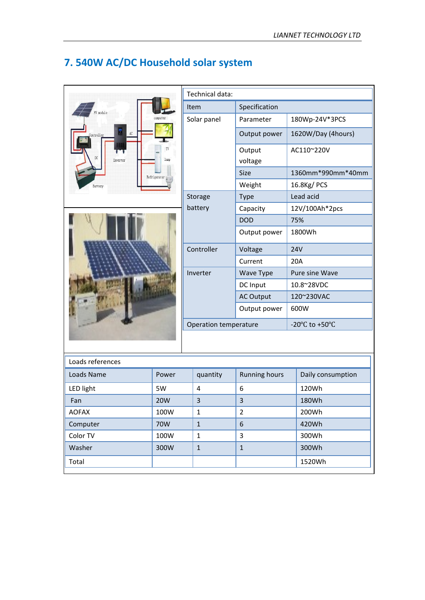# **7. 540W AC/DC Household solar system**

| PV module                                 |          | computer             |
|-------------------------------------------|----------|----------------------|
| Controller<br>$\overline{D} \overline{C}$ | E<br>AC  | TV<br>sca-           |
| Battery                                   | Inverter | lamp<br>Refrigerator |



| Technical data:       |                   |                                                      |  |  |  |  |  |
|-----------------------|-------------------|------------------------------------------------------|--|--|--|--|--|
| Item                  | Specification     |                                                      |  |  |  |  |  |
| Solar panel           | Parameter         | 180Wp-24V*3PCS                                       |  |  |  |  |  |
|                       | Output power      | 1620W/Day (4hours)                                   |  |  |  |  |  |
|                       | Output<br>voltage | AC110~220V                                           |  |  |  |  |  |
|                       | Size              | 1360mm*990mm*40mm                                    |  |  |  |  |  |
|                       | Weight            | 16.8Kg/PCS                                           |  |  |  |  |  |
| Storage               | <b>Type</b>       | Lead acid                                            |  |  |  |  |  |
| battery               | Capacity          | 12V/100Ah*2pcs                                       |  |  |  |  |  |
|                       | <b>DOD</b>        | 75%                                                  |  |  |  |  |  |
|                       | Output power      | 1800Wh                                               |  |  |  |  |  |
| Controller            | Voltage           | <b>24V</b>                                           |  |  |  |  |  |
|                       | Current           | 20A                                                  |  |  |  |  |  |
| Inverter              | Wave Type         | <b>Pure sine Wave</b>                                |  |  |  |  |  |
|                       | DC Input          | 10.8~28VDC                                           |  |  |  |  |  |
|                       | <b>AC Output</b>  | 120~230VAC                                           |  |  |  |  |  |
|                       | Output power      | 600W                                                 |  |  |  |  |  |
| Operation temperature |                   | -20 $\mathrm{^{\circ}C}$ to +50 $\mathrm{^{\circ}C}$ |  |  |  |  |  |
|                       |                   |                                                      |  |  |  |  |  |

| Loads references |                 |              |                      |                   |  |
|------------------|-----------------|--------------|----------------------|-------------------|--|
| Loads Name       | Power           | quantity     | <b>Running hours</b> | Daily consumption |  |
| LED light        | 5W              | 4            | 6                    | 120Wh             |  |
| Fan              | 20 <sub>W</sub> | 3            | 3                    | 180Wh             |  |
| <b>AOFAX</b>     | 100W            | 1            | $\overline{2}$       | 200Wh             |  |
| Computer         | 70W             | $\mathbf{1}$ | 6                    | 420Wh             |  |
| Color TV         | 100W            | 1            | 3                    | 300Wh             |  |
| Washer           | 300W            | $\mathbf{1}$ | 1                    | 300Wh             |  |
| Total            |                 |              |                      | 1520Wh            |  |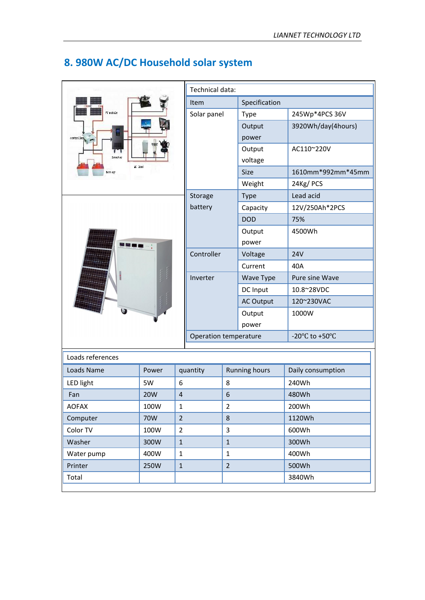|                      |            | Technical data: |                       |                |                      |                                                      |
|----------------------|------------|-----------------|-----------------------|----------------|----------------------|------------------------------------------------------|
|                      |            |                 | Item                  |                | Specification        |                                                      |
| PV module            |            |                 | Solar panel           |                | <b>Type</b>          | 245Wp*4PCS 36V                                       |
|                      |            |                 |                       |                | Output               | 3920Wh/day(4hours)                                   |
| controller           |            |                 |                       |                | power                |                                                      |
|                      |            |                 |                       | Output         | AC110~220V           |                                                      |
| Invert er<br>AC load |            |                 |                       |                | voltage              |                                                      |
| fattery              |            |                 |                       |                | <b>Size</b>          | 1610mm*992mm*45mm                                    |
|                      |            |                 |                       |                | Weight               | 24Kg/PCS                                             |
|                      |            |                 | Storage               |                | <b>Type</b>          | Lead acid                                            |
|                      |            |                 | battery               |                | Capacity             | 12V/250Ah*2PCS                                       |
|                      |            |                 |                       |                | <b>DOD</b>           | 75%                                                  |
|                      |            |                 |                       |                | Output               | 4500Wh                                               |
| 99 o n               |            |                 |                       |                | power                |                                                      |
|                      |            |                 | Controller            |                | Voltage              | <b>24V</b>                                           |
|                      |            |                 |                       |                | Current              | 40A                                                  |
|                      |            |                 | Inverter              |                | Wave Type            | Pure sine Wave                                       |
|                      |            |                 |                       |                | DC Input             | 10.8~28VDC                                           |
|                      |            |                 |                       |                | <b>AC Output</b>     | 120~230VAC                                           |
|                      |            |                 |                       |                | Output               | 1000W                                                |
|                      |            |                 |                       |                | power                |                                                      |
|                      |            |                 | Operation temperature |                |                      | -20 $\mathrm{^{\circ}C}$ to +50 $\mathrm{^{\circ}C}$ |
|                      |            |                 |                       |                |                      |                                                      |
| Loads references     |            |                 |                       |                |                      |                                                      |
| Loads Name           | Power      |                 | quantity              |                | <b>Running hours</b> | Daily consumption                                    |
| <b>LED light</b>     | 5W         | 6               |                       | 8              |                      | 240Wh                                                |
| Fan                  | <b>20W</b> | $\overline{4}$  |                       | 6              |                      | 480Wh                                                |
| <b>AOFAX</b>         | 100W       | $\mathbf{1}$    |                       | $\overline{2}$ |                      | 200Wh                                                |
| Computer             | 70W        | $\overline{2}$  |                       | 8              |                      | 1120Wh                                               |
| Color TV             | 100W       | $\overline{2}$  |                       | $\mathbf{3}$   |                      | 600Wh                                                |
| Washer               | 300W       | $1\,$           |                       | $\mathbf{1}$   |                      | 300Wh                                                |
| Water pump           | 400W       | $\mathbf{1}$    |                       | $\mathbf{1}$   |                      | 400Wh                                                |
| Printer              | 250W       | $1\,$           |                       | $\overline{2}$ |                      | 500Wh                                                |
| Total                |            |                 |                       |                |                      | 3840Wh                                               |

#### **8. 980W AC/DC Household solar system**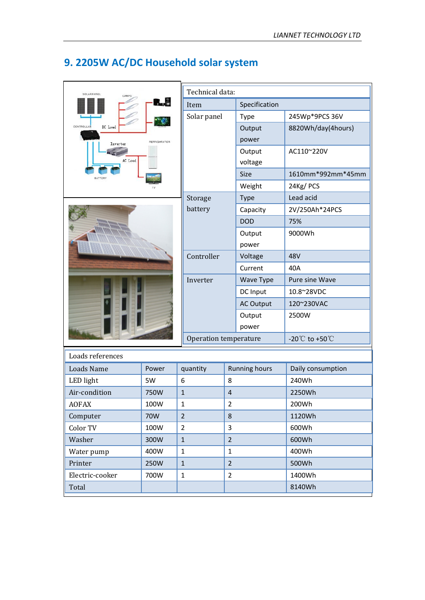| SOLAR PANEL                                      |       |                       | Technical data: |                      |                                      |  |  |
|--------------------------------------------------|-------|-----------------------|-----------------|----------------------|--------------------------------------|--|--|
|                                                  | $-8$  | Item                  |                 | Specification        |                                      |  |  |
|                                                  |       | Solar panel           |                 | Type                 | 245Wp*9PCS 36V                       |  |  |
| CONTROLLA<br>DC Load<br>REFRIGARATOR<br>Inverter |       |                       |                 | Output               | 8820Wh/day(4hours)                   |  |  |
|                                                  |       |                       |                 | power                |                                      |  |  |
|                                                  |       |                       |                 | Output               | AC110~220V                           |  |  |
| AC Load                                          |       |                       |                 | voltage              |                                      |  |  |
|                                                  |       |                       |                 | Size                 | 1610mm*992mm*45mm                    |  |  |
|                                                  |       |                       |                 | Weight               | 24Kg/PCS                             |  |  |
|                                                  |       | Storage               |                 | Type                 | Lead acid                            |  |  |
|                                                  |       | battery               |                 | Capacity             | 2V/250Ah*24PCS                       |  |  |
|                                                  |       |                       |                 | <b>DOD</b>           | 75%                                  |  |  |
|                                                  |       |                       |                 | Output               | 9000Wh                               |  |  |
|                                                  |       |                       |                 | power                |                                      |  |  |
|                                                  |       | Controller            |                 | Voltage              | 48V                                  |  |  |
|                                                  |       |                       |                 | Current              | 40A                                  |  |  |
|                                                  |       | Inverter              |                 | Wave Type            | Pure sine Wave                       |  |  |
|                                                  |       |                       |                 | DC Input             | 10.8~28VDC                           |  |  |
|                                                  |       |                       |                 | <b>AC Output</b>     | 120~230VAC                           |  |  |
|                                                  |       |                       |                 | Output               | 2500W                                |  |  |
|                                                  |       |                       |                 | power                |                                      |  |  |
|                                                  |       | Operation temperature |                 |                      | -20 $^{\circ}$ C to +50 $^{\circ}$ C |  |  |
| Loads references                                 |       |                       |                 |                      |                                      |  |  |
| <b>Loads Name</b>                                | Power | quantity              |                 | <b>Running hours</b> | Daily consumption                    |  |  |
| LED light                                        | 5W    | 6                     | 8               |                      | 240Wh                                |  |  |
| Air-condition                                    | 750W  | $\mathbf{1}$          | $\overline{4}$  |                      | 2250Wh                               |  |  |
| <b>AOFAX</b>                                     | 100W  | $\mathbf{1}$          | $\overline{2}$  |                      | 200Wh                                |  |  |
| Computer                                         | 70W   | $\overline{2}$        | 8               |                      | 1120Wh                               |  |  |
| Color TV                                         | 100W  | $\overline{2}$        | 3               |                      | 600Wh                                |  |  |
| Washer                                           | 300W  | $\mathbf{1}$          | $\overline{2}$  |                      | 600Wh                                |  |  |
| Water pump                                       | 400W  | $\mathbf{1}$          | $\mathbf{1}$    |                      | 400Wh                                |  |  |
| Printer                                          | 250W  | $\mathbf{1}$          | $\overline{2}$  |                      | 500Wh                                |  |  |
| Electric-cooker                                  | 700W  | $\mathbf{1}$          | $\overline{2}$  |                      | 1400Wh                               |  |  |
| Total                                            |       |                       |                 |                      | 8140Wh                               |  |  |

## **9. 2205W AC/DC Household solar system**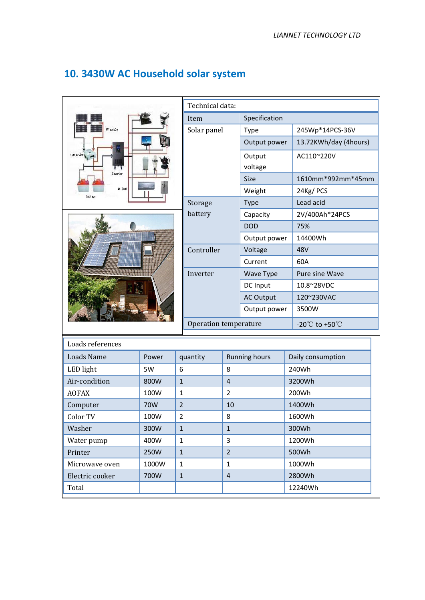| PV nodule<br>ň<br>controller |      |
|------------------------------|------|
| Invert er                    |      |
| AC load<br>fait ery          | 8811 |

## **10. 3430W AC Household solar system**



| Technical data:       |                   |                                  |  |  |  |
|-----------------------|-------------------|----------------------------------|--|--|--|
| Item                  | Specification     |                                  |  |  |  |
| Solar panel           | <b>Type</b>       | 245Wp*14PCS-36V                  |  |  |  |
|                       | Output power      | 13.72KWh/day (4hours)            |  |  |  |
|                       | Output<br>voltage | AC110~220V                       |  |  |  |
|                       | <b>Size</b>       | 1610mm*992mm*45mm                |  |  |  |
|                       | Weight            | 24Kg/PCS                         |  |  |  |
| Storage               | <b>Type</b>       | Lead acid                        |  |  |  |
| battery               | Capacity          | 2V/400Ah*24PCS                   |  |  |  |
|                       | <b>DOD</b>        | 75%                              |  |  |  |
|                       | Output power      | 14400Wh                          |  |  |  |
| Controller            | Voltage           | 48V                              |  |  |  |
|                       | Current           | 60A                              |  |  |  |
| Inverter              | Wave Type         | Pure sine Wave                   |  |  |  |
|                       | DC Input          | 10.8~28VDC                       |  |  |  |
|                       | <b>AC Output</b>  | 120~230VAC                       |  |  |  |
|                       | Output power      | 3500W                            |  |  |  |
| Operation temperature |                   | -20 $\degree$ to +50 $\degree$ C |  |  |  |

| Loads references |       |                |                      |                   |  |  |
|------------------|-------|----------------|----------------------|-------------------|--|--|
| Loads Name       | Power | quantity       | <b>Running hours</b> | Daily consumption |  |  |
| LED light        | 5W    | 6              | 8                    | 240Wh             |  |  |
| Air-condition    | 800W  | 1              | $\overline{4}$       | 3200Wh            |  |  |
| <b>AOFAX</b>     | 100W  | 1              | $\overline{2}$       | 200Wh             |  |  |
| Computer         | 70W   | $\overline{2}$ | 10                   | 1400Wh            |  |  |
| Color TV         | 100W  | $\overline{2}$ | 8                    | 1600Wh            |  |  |
| Washer           | 300W  | $\mathbf{1}$   | $\mathbf{1}$         | 300Wh             |  |  |
| Water pump       | 400W  | 1              | 3                    | 1200Wh            |  |  |
| Printer          | 250W  | $\mathbf{1}$   | $\overline{2}$       | 500Wh             |  |  |
| Microwaye oven   | 1000W | 1              | $\mathbf{1}$         | 1000Wh            |  |  |
| Electric cooker  | 700W  | 1              | $\overline{4}$       | 2800Wh            |  |  |
| Total            |       |                |                      | 12240Wh           |  |  |